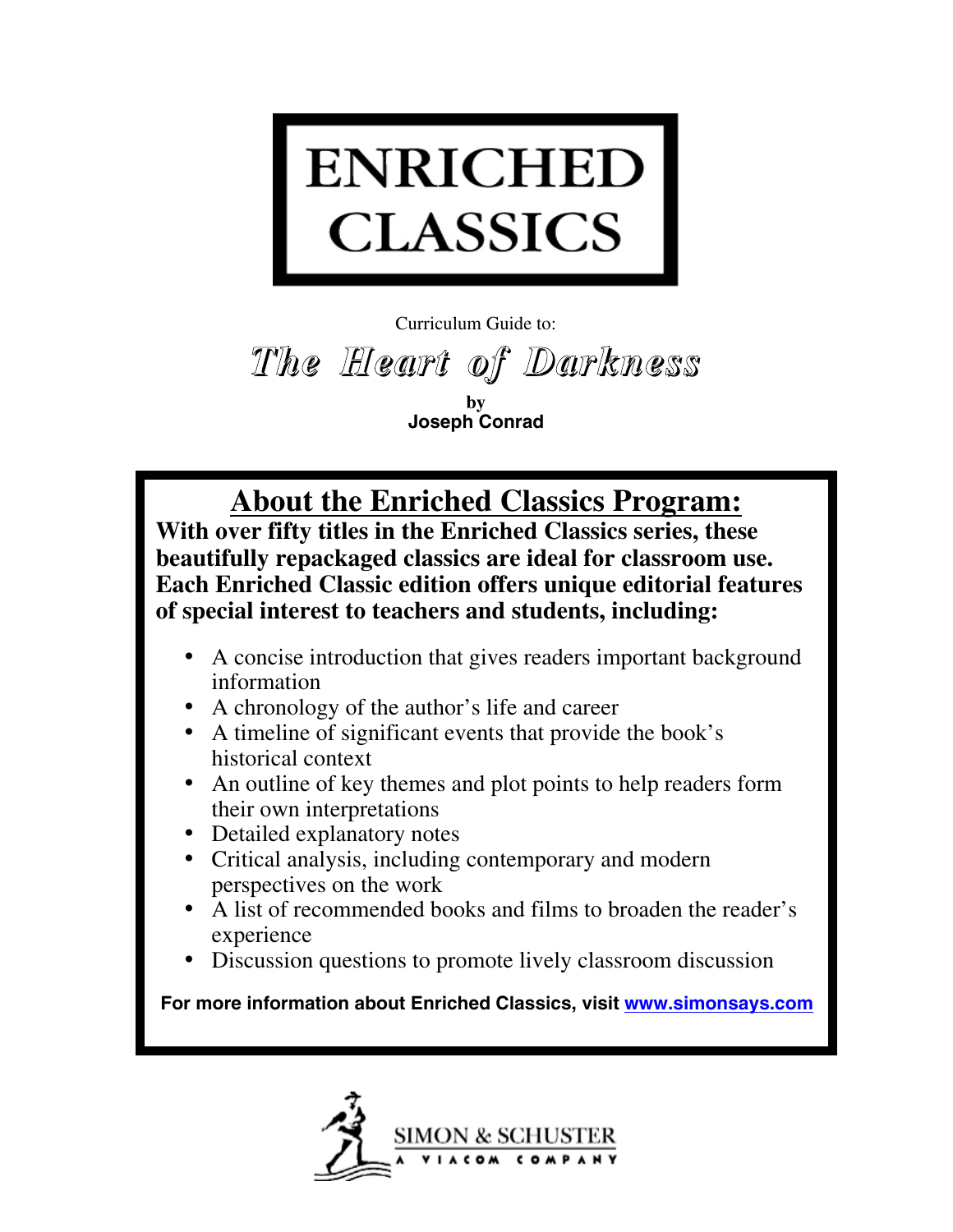

Curriculum Guide to:

*The Heart of Darkness*

**by Joseph Conrad**

# **About the Enriched Classics Program:**

**With over fifty titles in the Enriched Classics series, these beautifully repackaged classics are ideal for classroom use. Each Enriched Classic edition offers unique editorial features of special interest to teachers and students, including:**

- A concise introduction that gives readers important background information
- A chronology of the author's life and career
- A timeline of significant events that provide the book's historical context
- An outline of key themes and plot points to help readers form their own interpretations
- Detailed explanatory notes
- Critical analysis, including contemporary and modern perspectives on the work
- A list of recommended books and films to broaden the reader's experience
- Discussion questions to promote lively classroom discussion

**For more information about Enriched Classics, visit www.simonsays.com**

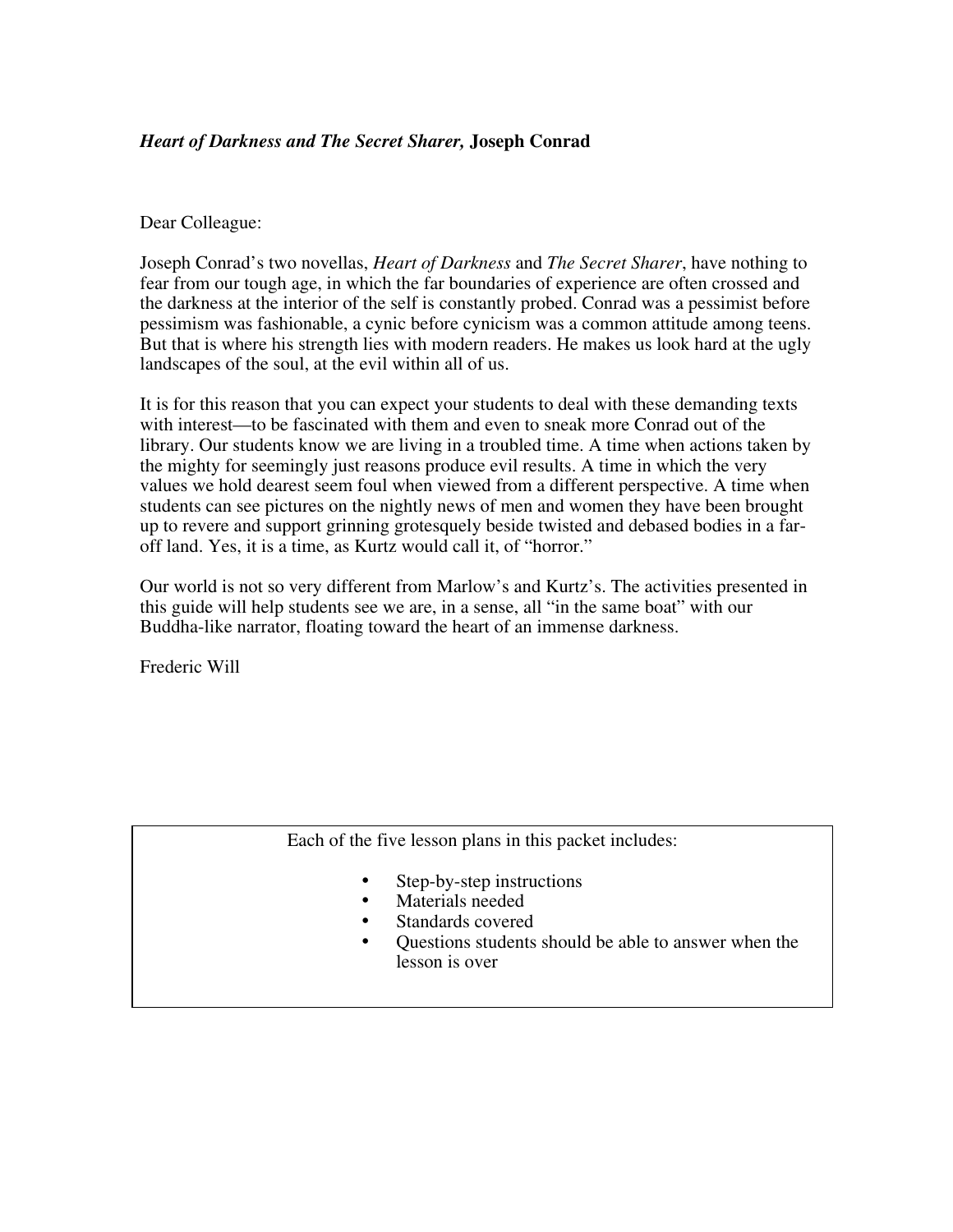## *Heart of Darkness and The Secret Sharer,* **Joseph Conrad**

#### Dear Colleague:

Joseph Conrad's two novellas, *Heart of Darkness* and *The Secret Sharer*, have nothing to fear from our tough age, in which the far boundaries of experience are often crossed and the darkness at the interior of the self is constantly probed. Conrad was a pessimist before pessimism was fashionable, a cynic before cynicism was a common attitude among teens. But that is where his strength lies with modern readers. He makes us look hard at the ugly landscapes of the soul, at the evil within all of us.

It is for this reason that you can expect your students to deal with these demanding texts with interest—to be fascinated with them and even to sneak more Conrad out of the library. Our students know we are living in a troubled time. A time when actions taken by the mighty for seemingly just reasons produce evil results. A time in which the very values we hold dearest seem foul when viewed from a different perspective. A time when students can see pictures on the nightly news of men and women they have been brought up to revere and support grinning grotesquely beside twisted and debased bodies in a faroff land. Yes, it is a time, as Kurtz would call it, of "horror."

Our world is not so very different from Marlow's and Kurtz's. The activities presented in this guide will help students see we are, in a sense, all "in the same boat" with our Buddha-like narrator, floating toward the heart of an immense darkness.

Frederic Will

#### Each of the five lesson plans in this packet includes:

- Step-by-step instructions
- Materials needed
- Standards covered
- Questions students should be able to answer when the lesson is over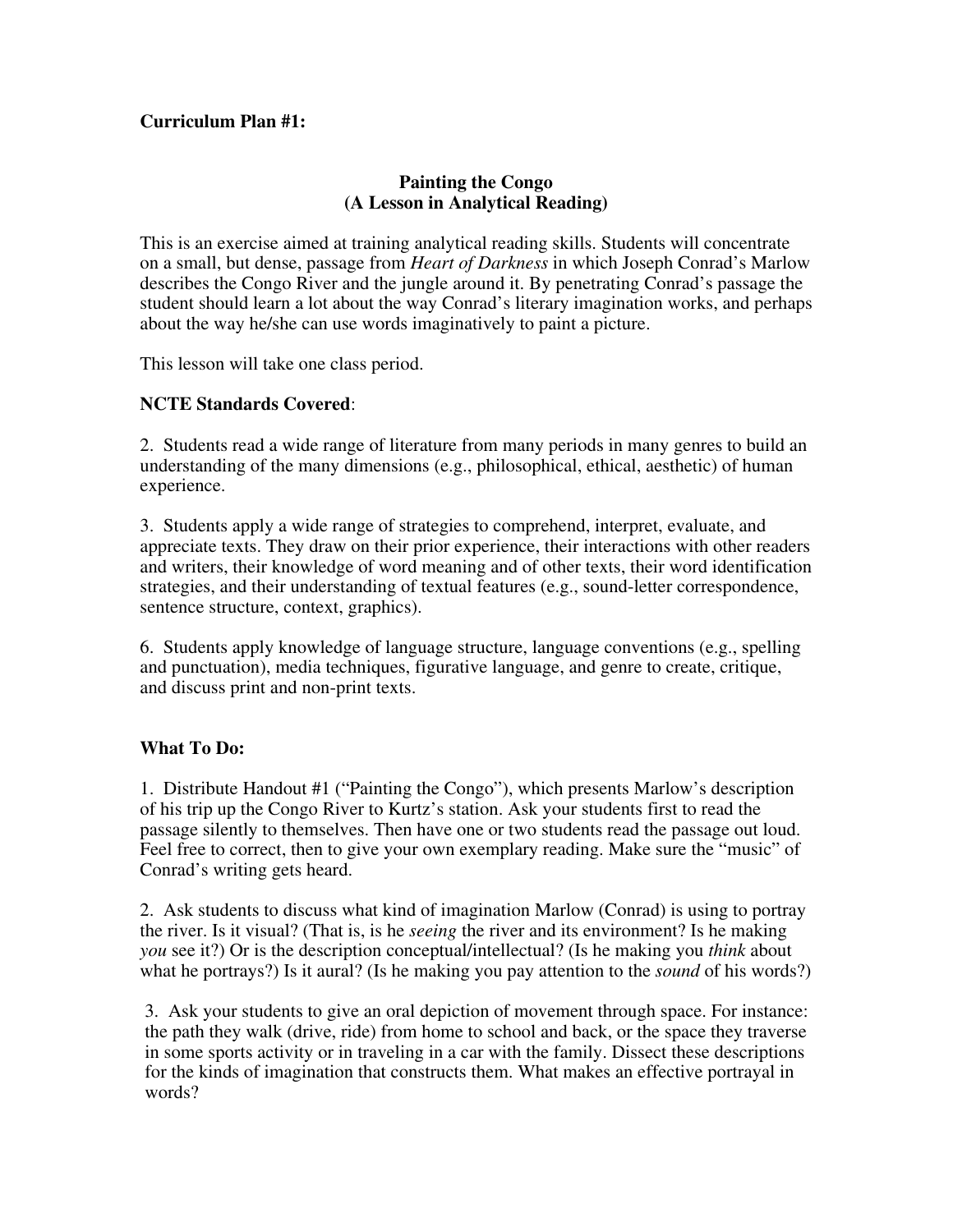## **Curriculum Plan #1:**

#### **Painting the Congo (A Lesson in Analytical Reading)**

This is an exercise aimed at training analytical reading skills. Students will concentrate on a small, but dense, passage from *Heart of Darkness* in which Joseph Conrad's Marlow describes the Congo River and the jungle around it. By penetrating Conrad's passage the student should learn a lot about the way Conrad's literary imagination works, and perhaps about the way he/she can use words imaginatively to paint a picture.

This lesson will take one class period.

### **NCTE Standards Covered**:

2. Students read a wide range of literature from many periods in many genres to build an understanding of the many dimensions (e.g., philosophical, ethical, aesthetic) of human experience.

3. Students apply a wide range of strategies to comprehend, interpret, evaluate, and appreciate texts. They draw on their prior experience, their interactions with other readers and writers, their knowledge of word meaning and of other texts, their word identification strategies, and their understanding of textual features (e.g., sound-letter correspondence, sentence structure, context, graphics).

6. Students apply knowledge of language structure, language conventions (e.g., spelling and punctuation), media techniques, figurative language, and genre to create, critique, and discuss print and non-print texts.

#### **What To Do:**

1. Distribute Handout #1 ("Painting the Congo"), which presents Marlow's description of his trip up the Congo River to Kurtz's station. Ask your students first to read the passage silently to themselves. Then have one or two students read the passage out loud. Feel free to correct, then to give your own exemplary reading. Make sure the "music" of Conrad's writing gets heard.

2. Ask students to discuss what kind of imagination Marlow (Conrad) is using to portray the river. Is it visual? (That is, is he *seeing* the river and its environment? Is he making *you* see it?) Or is the description conceptual/intellectual? (Is he making you *think* about what he portrays?) Is it aural? (Is he making you pay attention to the *sound* of his words?)

3. Ask your students to give an oral depiction of movement through space. For instance: the path they walk (drive, ride) from home to school and back, or the space they traverse in some sports activity or in traveling in a car with the family. Dissect these descriptions for the kinds of imagination that constructs them. What makes an effective portrayal in words?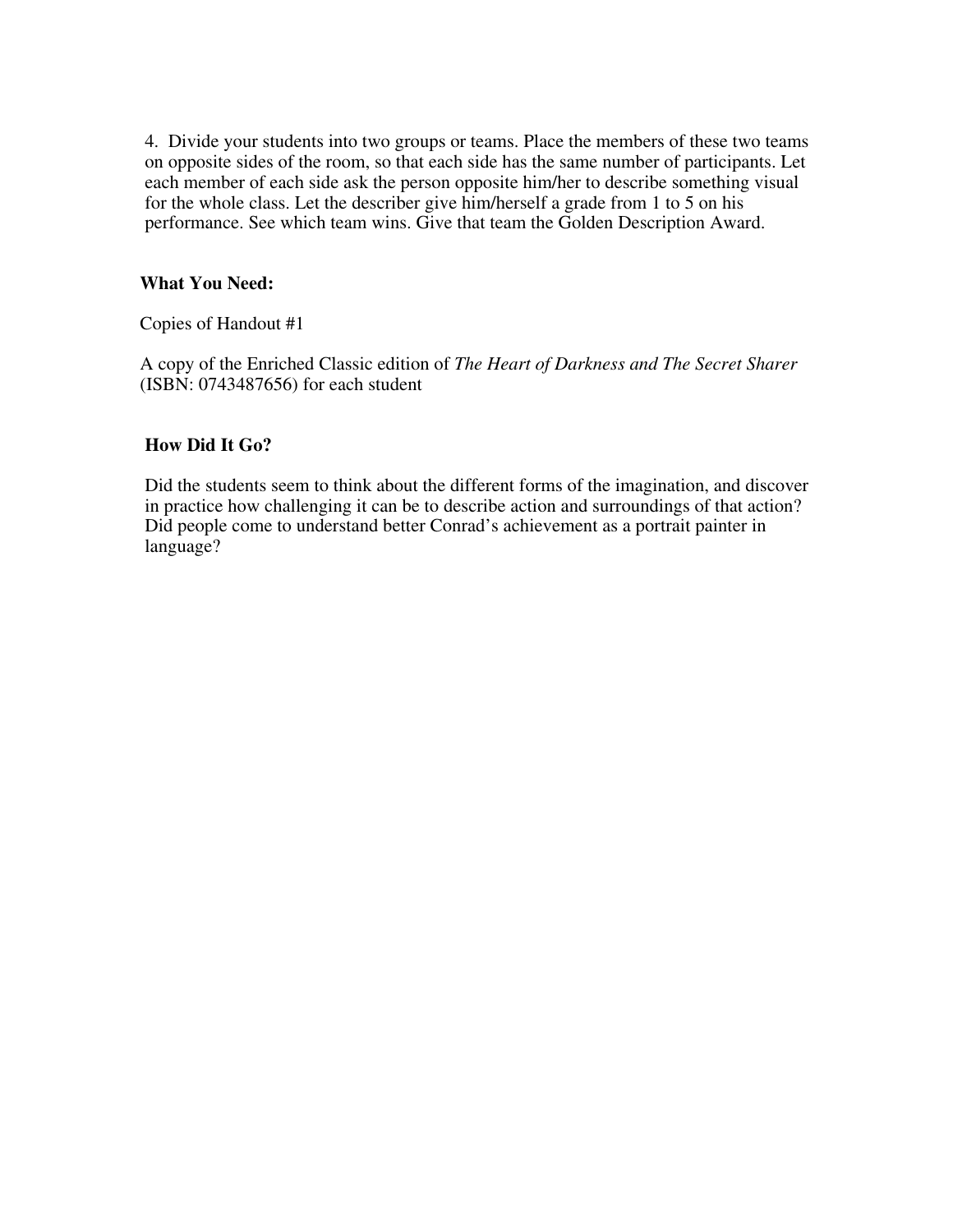4. Divide your students into two groups or teams. Place the members of these two teams on opposite sides of the room, so that each side has the same number of participants. Let each member of each side ask the person opposite him/her to describe something visual for the whole class. Let the describer give him/herself a grade from 1 to 5 on his performance. See which team wins. Give that team the Golden Description Award.

### **What You Need:**

Copies of Handout #1

A copy of the Enriched Classic edition of *The Heart of Darkness and The Secret Sharer* (ISBN: 0743487656) for each student

#### **How Did It Go?**

Did the students seem to think about the different forms of the imagination, and discover in practice how challenging it can be to describe action and surroundings of that action? Did people come to understand better Conrad's achievement as a portrait painter in language?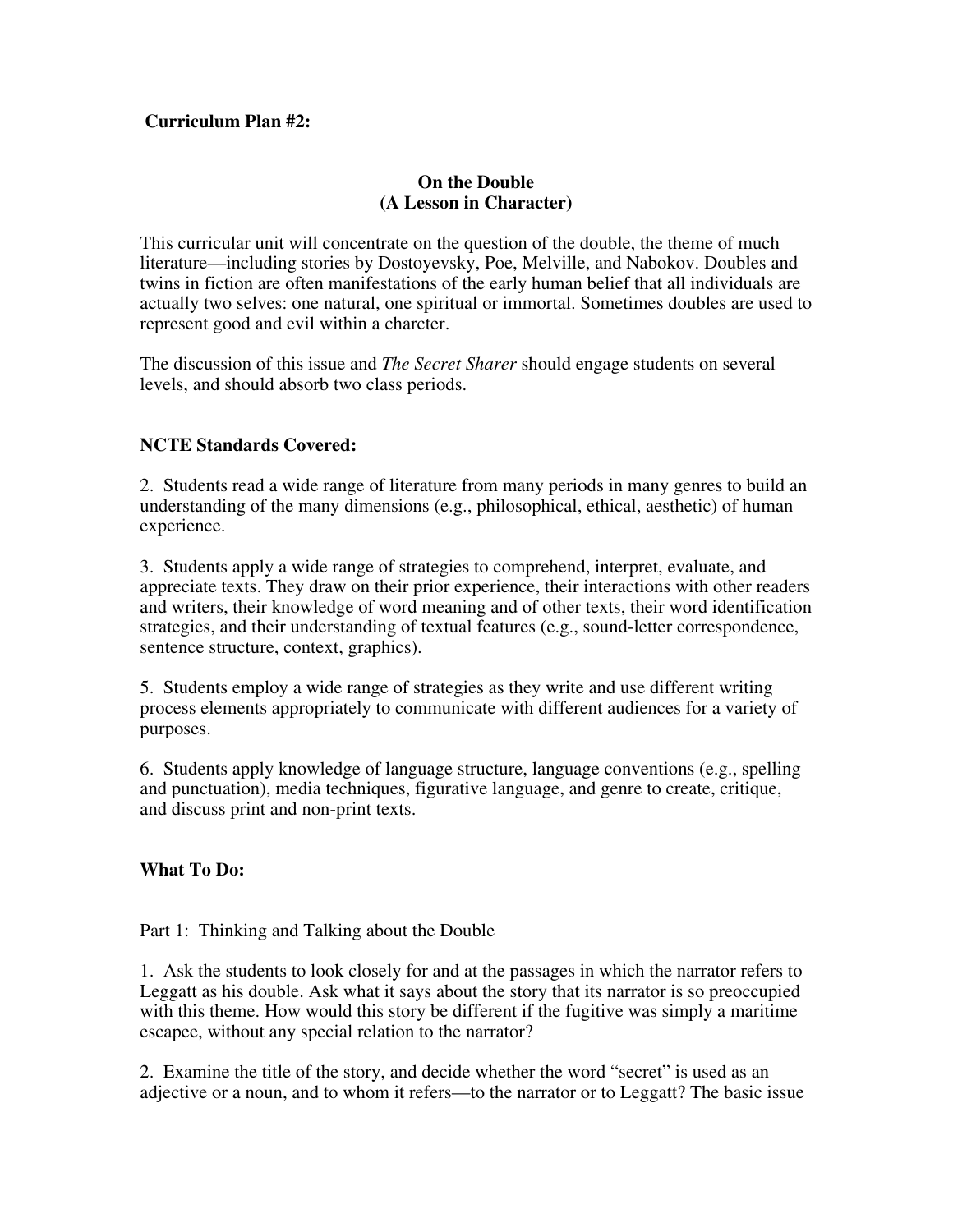#### **Curriculum Plan #2:**

### **On the Double (A Lesson in Character)**

This curricular unit will concentrate on the question of the double, the theme of much literature—including stories by Dostoyevsky, Poe, Melville, and Nabokov. Doubles and twins in fiction are often manifestations of the early human belief that all individuals are actually two selves: one natural, one spiritual or immortal. Sometimes doubles are used to represent good and evil within a charcter.

The discussion of this issue and *The Secret Sharer* should engage students on several levels, and should absorb two class periods.

## **NCTE Standards Covered:**

2. Students read a wide range of literature from many periods in many genres to build an understanding of the many dimensions (e.g., philosophical, ethical, aesthetic) of human experience.

3. Students apply a wide range of strategies to comprehend, interpret, evaluate, and appreciate texts. They draw on their prior experience, their interactions with other readers and writers, their knowledge of word meaning and of other texts, their word identification strategies, and their understanding of textual features (e.g., sound-letter correspondence, sentence structure, context, graphics).

5. Students employ a wide range of strategies as they write and use different writing process elements appropriately to communicate with different audiences for a variety of purposes.

6. Students apply knowledge of language structure, language conventions (e.g., spelling and punctuation), media techniques, figurative language, and genre to create, critique, and discuss print and non-print texts.

## **What To Do:**

#### Part 1: Thinking and Talking about the Double

1. Ask the students to look closely for and at the passages in which the narrator refers to Leggatt as his double. Ask what it says about the story that its narrator is so preoccupied with this theme. How would this story be different if the fugitive was simply a maritime escapee, without any special relation to the narrator?

2. Examine the title of the story, and decide whether the word "secret" is used as an adjective or a noun, and to whom it refers—to the narrator or to Leggatt? The basic issue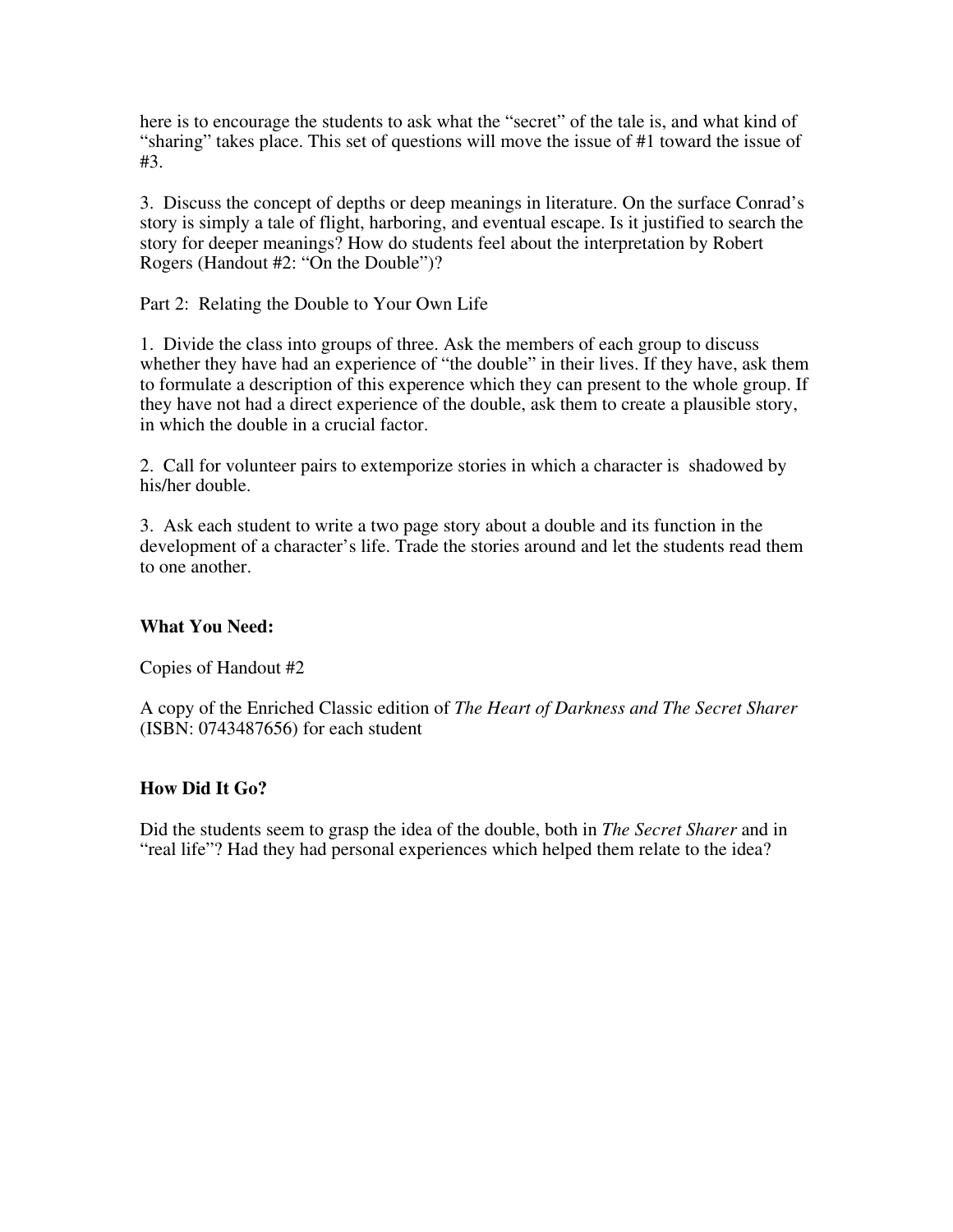here is to encourage the students to ask what the "secret" of the tale is, and what kind of "sharing" takes place. This set of questions will move the issue of #1 toward the issue of #3.

3. Discuss the concept of depths or deep meanings in literature. On the surface Conrad's story is simply a tale of flight, harboring, and eventual escape. Is it justified to search the story for deeper meanings? How do students feel about the interpretation by Robert Rogers (Handout #2: "On the Double")?

Part 2: Relating the Double to Your Own Life

1. Divide the class into groups of three. Ask the members of each group to discuss whether they have had an experience of "the double" in their lives. If they have, ask them to formulate a description of this experence which they can present to the whole group. If they have not had a direct experience of the double, ask them to create a plausible story, in which the double in a crucial factor.

2. Call for volunteer pairs to extemporize stories in which a character is shadowed by his/her double.

3. Ask each student to write a two page story about a double and its function in the development of a character's life. Trade the stories around and let the students read them to one another.

#### **What You Need:**

Copies of Handout #2

A copy of the Enriched Classic edition of *The Heart of Darkness and The Secret Sharer* (ISBN: 0743487656) for each student

#### **How Did It Go?**

Did the students seem to grasp the idea of the double, both in *The Secret Sharer* and in "real life"? Had they had personal experiences which helped them relate to the idea?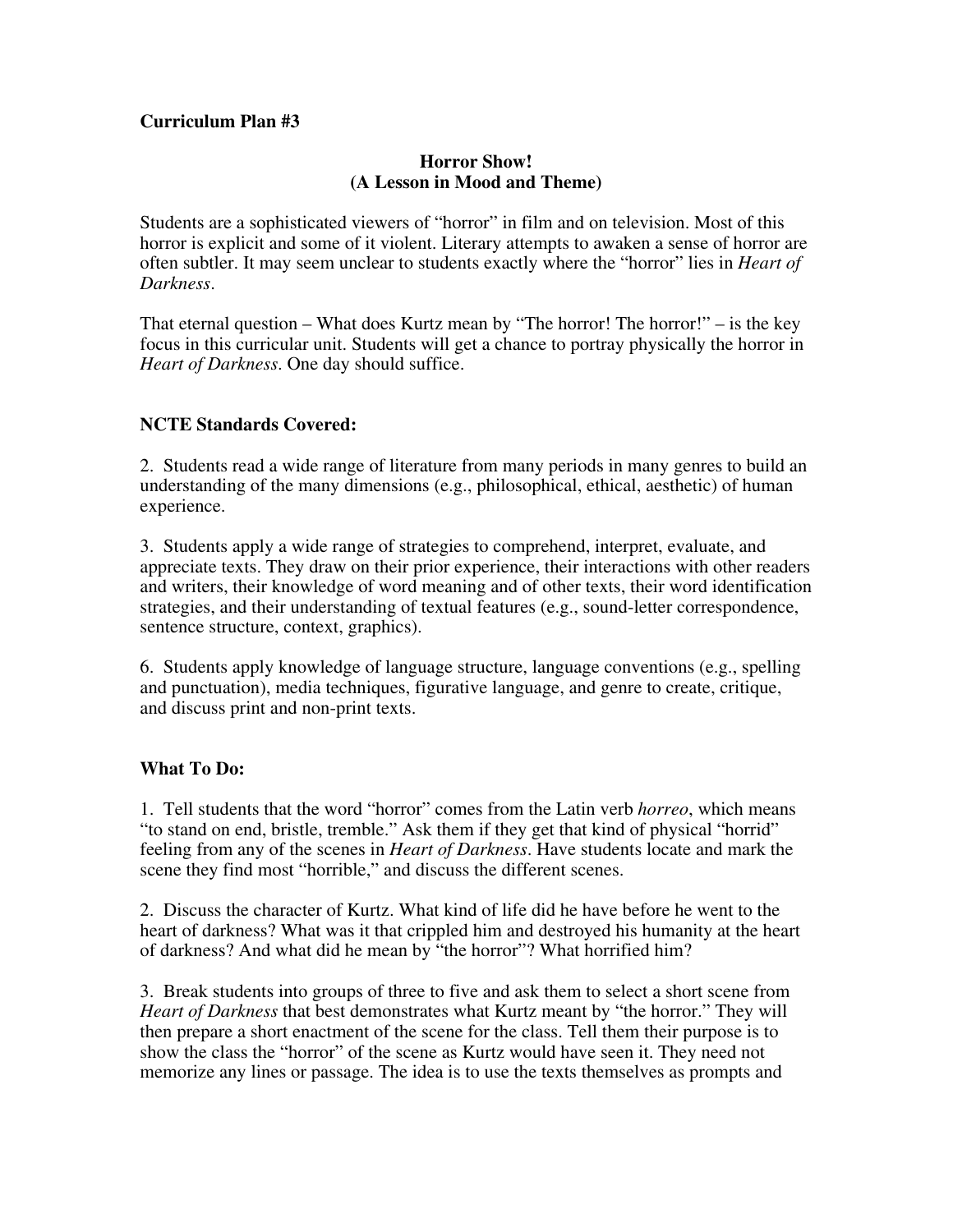#### **Curriculum Plan #3**

#### **Horror Show! (A Lesson in Mood and Theme)**

Students are a sophisticated viewers of "horror" in film and on television. Most of this horror is explicit and some of it violent. Literary attempts to awaken a sense of horror are often subtler. It may seem unclear to students exactly where the "horror" lies in *Heart of Darkness*.

That eternal question – What does Kurtz mean by "The horror! The horror!" – is the key focus in this curricular unit. Students will get a chance to portray physically the horror in *Heart of Darkness*. One day should suffice.

### **NCTE Standards Covered:**

2. Students read a wide range of literature from many periods in many genres to build an understanding of the many dimensions (e.g., philosophical, ethical, aesthetic) of human experience.

3. Students apply a wide range of strategies to comprehend, interpret, evaluate, and appreciate texts. They draw on their prior experience, their interactions with other readers and writers, their knowledge of word meaning and of other texts, their word identification strategies, and their understanding of textual features (e.g., sound-letter correspondence, sentence structure, context, graphics).

6. Students apply knowledge of language structure, language conventions (e.g., spelling and punctuation), media techniques, figurative language, and genre to create, critique, and discuss print and non-print texts.

#### **What To Do:**

1. Tell students that the word "horror" comes from the Latin verb *horreo*, which means "to stand on end, bristle, tremble." Ask them if they get that kind of physical "horrid" feeling from any of the scenes in *Heart of Darkness*. Have students locate and mark the scene they find most "horrible," and discuss the different scenes.

2. Discuss the character of Kurtz. What kind of life did he have before he went to the heart of darkness? What was it that crippled him and destroyed his humanity at the heart of darkness? And what did he mean by "the horror"? What horrified him?

3. Break students into groups of three to five and ask them to select a short scene from *Heart of Darkness* that best demonstrates what Kurtz meant by "the horror." They will then prepare a short enactment of the scene for the class. Tell them their purpose is to show the class the "horror" of the scene as Kurtz would have seen it. They need not memorize any lines or passage. The idea is to use the texts themselves as prompts and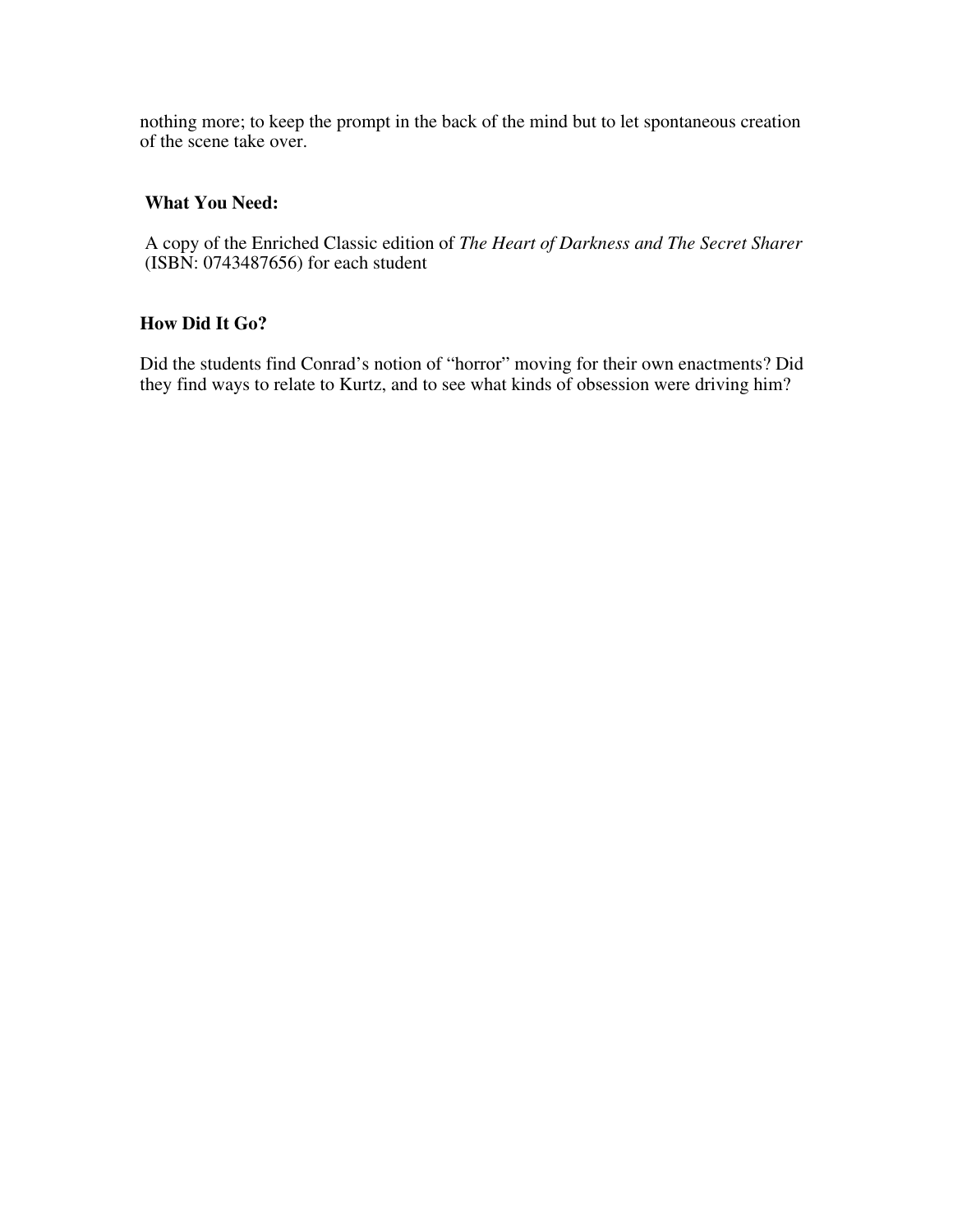nothing more; to keep the prompt in the back of the mind but to let spontaneous creation of the scene take over.

## **What You Need:**

A copy of the Enriched Classic edition of *The Heart of Darkness and The Secret Sharer* (ISBN: 0743487656) for each student

## **How Did It Go?**

Did the students find Conrad's notion of "horror" moving for their own enactments? Did they find ways to relate to Kurtz, and to see what kinds of obsession were driving him?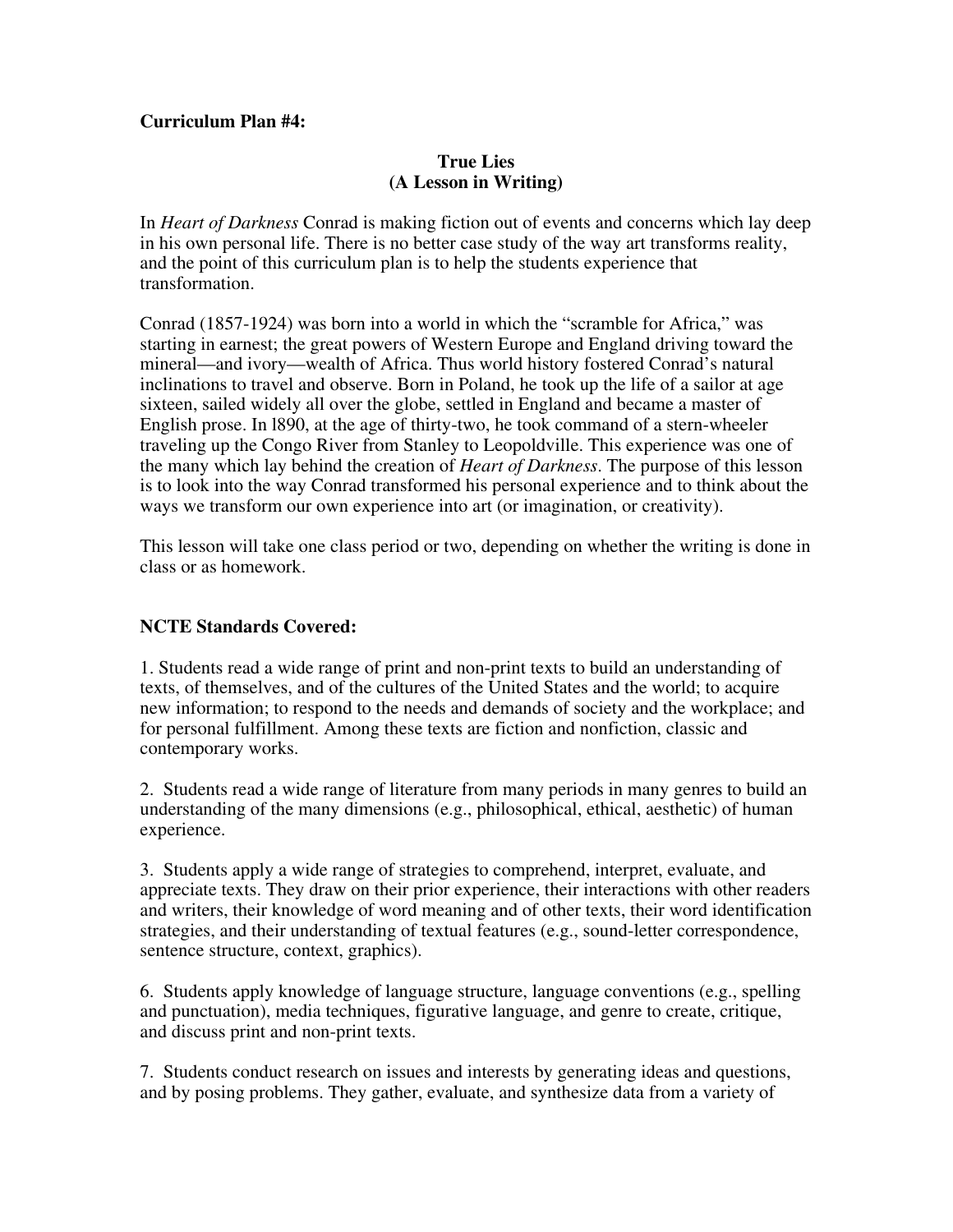#### **Curriculum Plan #4:**

#### **True Lies (A Lesson in Writing)**

In *Heart of Darkness* Conrad is making fiction out of events and concerns which lay deep in his own personal life. There is no better case study of the way art transforms reality, and the point of this curriculum plan is to help the students experience that transformation.

Conrad (1857-1924) was born into a world in which the "scramble for Africa," was starting in earnest; the great powers of Western Europe and England driving toward the mineral—and ivory—wealth of Africa. Thus world history fostered Conrad's natural inclinations to travel and observe. Born in Poland, he took up the life of a sailor at age sixteen, sailed widely all over the globe, settled in England and became a master of English prose. In l890, at the age of thirty-two, he took command of a stern-wheeler traveling up the Congo River from Stanley to Leopoldville. This experience was one of the many which lay behind the creation of *Heart of Darkness*. The purpose of this lesson is to look into the way Conrad transformed his personal experience and to think about the ways we transform our own experience into art (or imagination, or creativity).

This lesson will take one class period or two, depending on whether the writing is done in class or as homework.

#### **NCTE Standards Covered:**

1. Students read a wide range of print and non-print texts to build an understanding of texts, of themselves, and of the cultures of the United States and the world; to acquire new information; to respond to the needs and demands of society and the workplace; and for personal fulfillment. Among these texts are fiction and nonfiction, classic and contemporary works.

2. Students read a wide range of literature from many periods in many genres to build an understanding of the many dimensions (e.g., philosophical, ethical, aesthetic) of human experience.

3. Students apply a wide range of strategies to comprehend, interpret, evaluate, and appreciate texts. They draw on their prior experience, their interactions with other readers and writers, their knowledge of word meaning and of other texts, their word identification strategies, and their understanding of textual features (e.g., sound-letter correspondence, sentence structure, context, graphics).

6. Students apply knowledge of language structure, language conventions (e.g., spelling and punctuation), media techniques, figurative language, and genre to create, critique, and discuss print and non-print texts.

7. Students conduct research on issues and interests by generating ideas and questions, and by posing problems. They gather, evaluate, and synthesize data from a variety of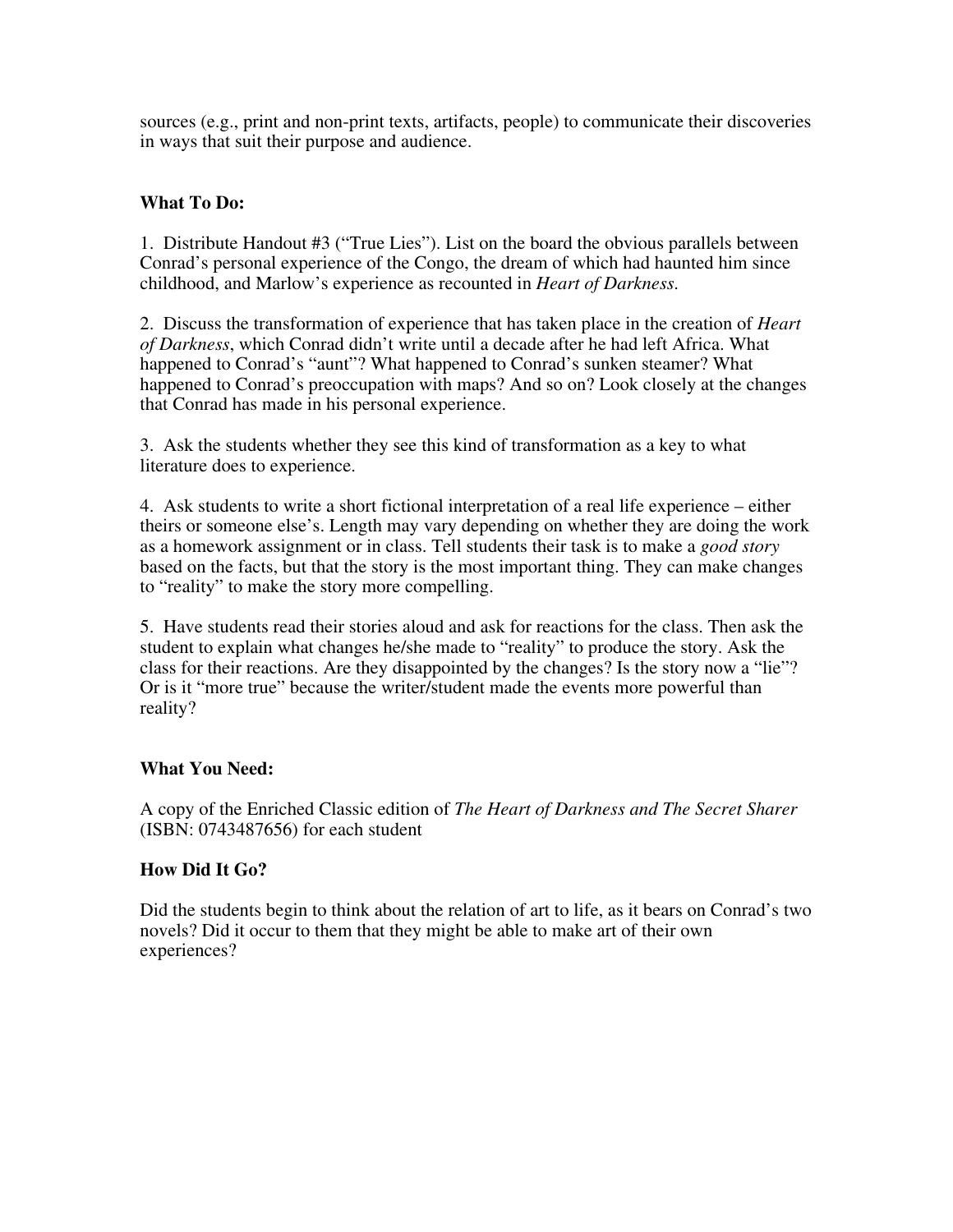sources (e.g., print and non-print texts, artifacts, people) to communicate their discoveries in ways that suit their purpose and audience.

## **What To Do:**

1. Distribute Handout #3 ("True Lies"). List on the board the obvious parallels between Conrad's personal experience of the Congo, the dream of which had haunted him since childhood, and Marlow's experience as recounted in *Heart of Darkness*.

2. Discuss the transformation of experience that has taken place in the creation of *Heart of Darkness*, which Conrad didn't write until a decade after he had left Africa. What happened to Conrad's "aunt"? What happened to Conrad's sunken steamer? What happened to Conrad's preoccupation with maps? And so on? Look closely at the changes that Conrad has made in his personal experience.

3. Ask the students whether they see this kind of transformation as a key to what literature does to experience.

4. Ask students to write a short fictional interpretation of a real life experience – either theirs or someone else's. Length may vary depending on whether they are doing the work as a homework assignment or in class. Tell students their task is to make a *good story* based on the facts, but that the story is the most important thing. They can make changes to "reality" to make the story more compelling.

5. Have students read their stories aloud and ask for reactions for the class. Then ask the student to explain what changes he/she made to "reality" to produce the story. Ask the class for their reactions. Are they disappointed by the changes? Is the story now a "lie"? Or is it "more true" because the writer/student made the events more powerful than reality?

#### **What You Need:**

A copy of the Enriched Classic edition of *The Heart of Darkness and The Secret Sharer* (ISBN: 0743487656) for each student

#### **How Did It Go?**

Did the students begin to think about the relation of art to life, as it bears on Conrad's two novels? Did it occur to them that they might be able to make art of their own experiences?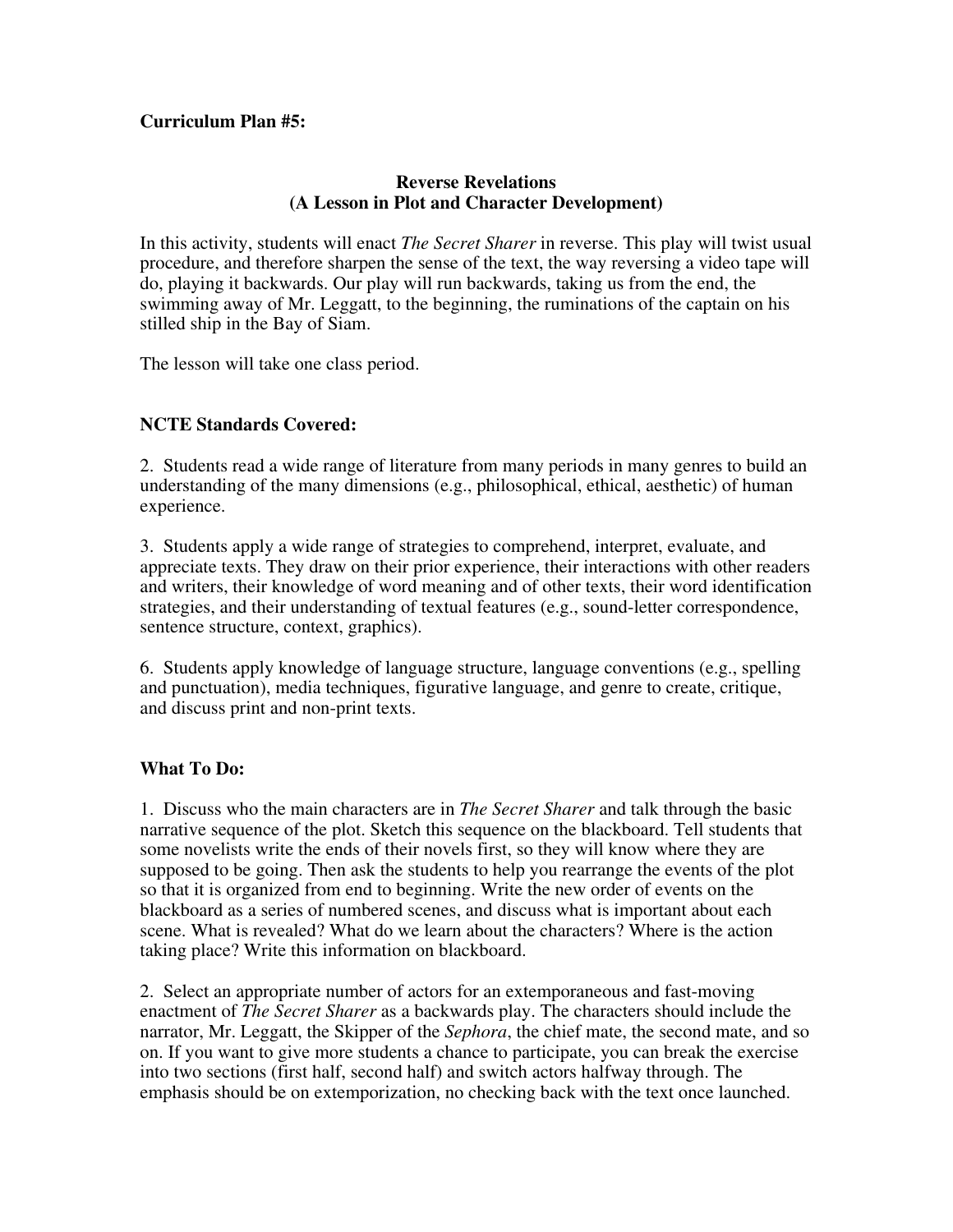### **Curriculum Plan #5:**

#### **Reverse Revelations (A Lesson in Plot and Character Development)**

In this activity, students will enact *The Secret Sharer* in reverse. This play will twist usual procedure, and therefore sharpen the sense of the text, the way reversing a video tape will do, playing it backwards. Our play will run backwards, taking us from the end, the swimming away of Mr. Leggatt, to the beginning, the ruminations of the captain on his stilled ship in the Bay of Siam.

The lesson will take one class period.

### **NCTE Standards Covered:**

2. Students read a wide range of literature from many periods in many genres to build an understanding of the many dimensions (e.g., philosophical, ethical, aesthetic) of human experience.

3. Students apply a wide range of strategies to comprehend, interpret, evaluate, and appreciate texts. They draw on their prior experience, their interactions with other readers and writers, their knowledge of word meaning and of other texts, their word identification strategies, and their understanding of textual features (e.g., sound-letter correspondence, sentence structure, context, graphics).

6. Students apply knowledge of language structure, language conventions (e.g., spelling and punctuation), media techniques, figurative language, and genre to create, critique, and discuss print and non-print texts.

#### **What To Do:**

1. Discuss who the main characters are in *The Secret Sharer* and talk through the basic narrative sequence of the plot. Sketch this sequence on the blackboard. Tell students that some novelists write the ends of their novels first, so they will know where they are supposed to be going. Then ask the students to help you rearrange the events of the plot so that it is organized from end to beginning. Write the new order of events on the blackboard as a series of numbered scenes, and discuss what is important about each scene. What is revealed? What do we learn about the characters? Where is the action taking place? Write this information on blackboard.

2. Select an appropriate number of actors for an extemporaneous and fast-moving enactment of *The Secret Sharer* as a backwards play. The characters should include the narrator, Mr. Leggatt, the Skipper of the *Sephora*, the chief mate, the second mate, and so on. If you want to give more students a chance to participate, you can break the exercise into two sections (first half, second half) and switch actors halfway through. The emphasis should be on extemporization, no checking back with the text once launched.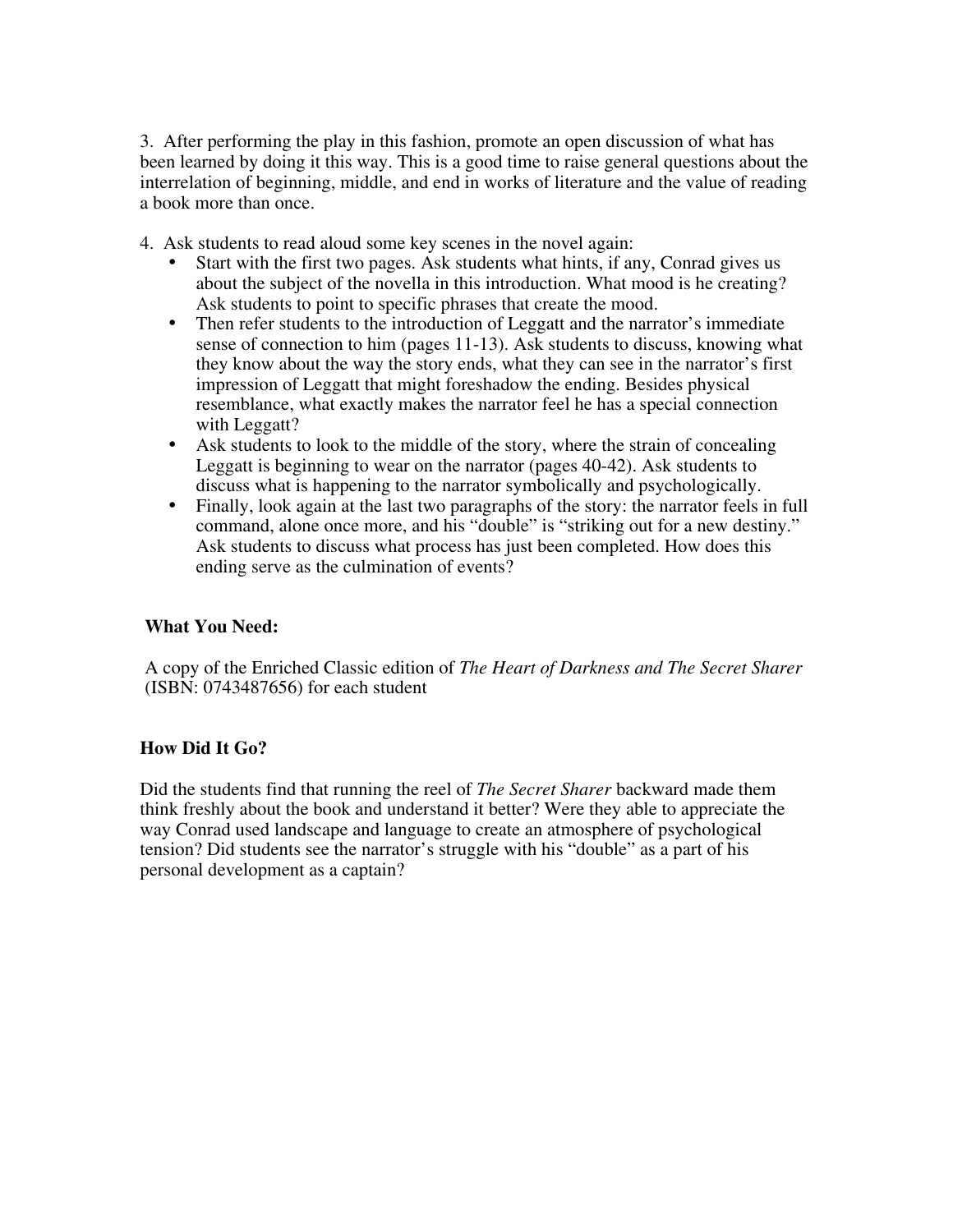3. After performing the play in this fashion, promote an open discussion of what has been learned by doing it this way. This is a good time to raise general questions about the interrelation of beginning, middle, and end in works of literature and the value of reading a book more than once.

4. Ask students to read aloud some key scenes in the novel again:

- Start with the first two pages. Ask students what hints, if any, Conrad gives us about the subject of the novella in this introduction. What mood is he creating? Ask students to point to specific phrases that create the mood.
- Then refer students to the introduction of Leggatt and the narrator's immediate sense of connection to him (pages 11-13). Ask students to discuss, knowing what they know about the way the story ends, what they can see in the narrator's first impression of Leggatt that might foreshadow the ending. Besides physical resemblance, what exactly makes the narrator feel he has a special connection with Leggatt?
- Ask students to look to the middle of the story, where the strain of concealing Leggatt is beginning to wear on the narrator (pages 40-42). Ask students to discuss what is happening to the narrator symbolically and psychologically.
- Finally, look again at the last two paragraphs of the story: the narrator feels in full command, alone once more, and his "double" is "striking out for a new destiny." Ask students to discuss what process has just been completed. How does this ending serve as the culmination of events?

#### **What You Need:**

A copy of the Enriched Classic edition of *The Heart of Darkness and The Secret Sharer* (ISBN: 0743487656) for each student

## **How Did It Go?**

Did the students find that running the reel of *The Secret Sharer* backward made them think freshly about the book and understand it better? Were they able to appreciate the way Conrad used landscape and language to create an atmosphere of psychological tension? Did students see the narrator's struggle with his "double" as a part of his personal development as a captain?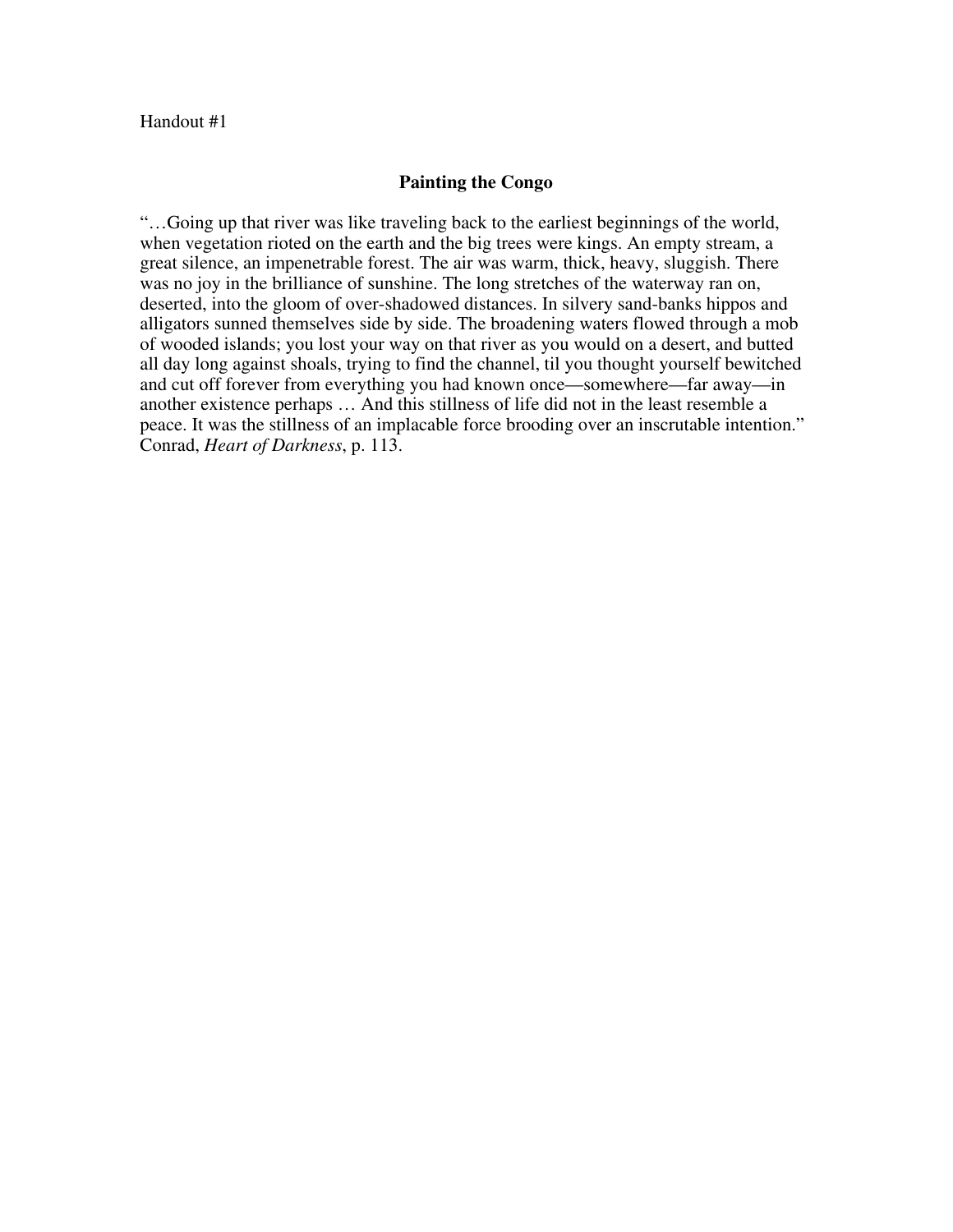#### **Painting the Congo**

"…Going up that river was like traveling back to the earliest beginnings of the world, when vegetation rioted on the earth and the big trees were kings. An empty stream, a great silence, an impenetrable forest. The air was warm, thick, heavy, sluggish. There was no joy in the brilliance of sunshine. The long stretches of the waterway ran on, deserted, into the gloom of over-shadowed distances. In silvery sand-banks hippos and alligators sunned themselves side by side. The broadening waters flowed through a mob of wooded islands; you lost your way on that river as you would on a desert, and butted all day long against shoals, trying to find the channel, til you thought yourself bewitched and cut off forever from everything you had known once—somewhere—far away—in another existence perhaps … And this stillness of life did not in the least resemble a peace. It was the stillness of an implacable force brooding over an inscrutable intention." Conrad, *Heart of Darkness*, p. 113.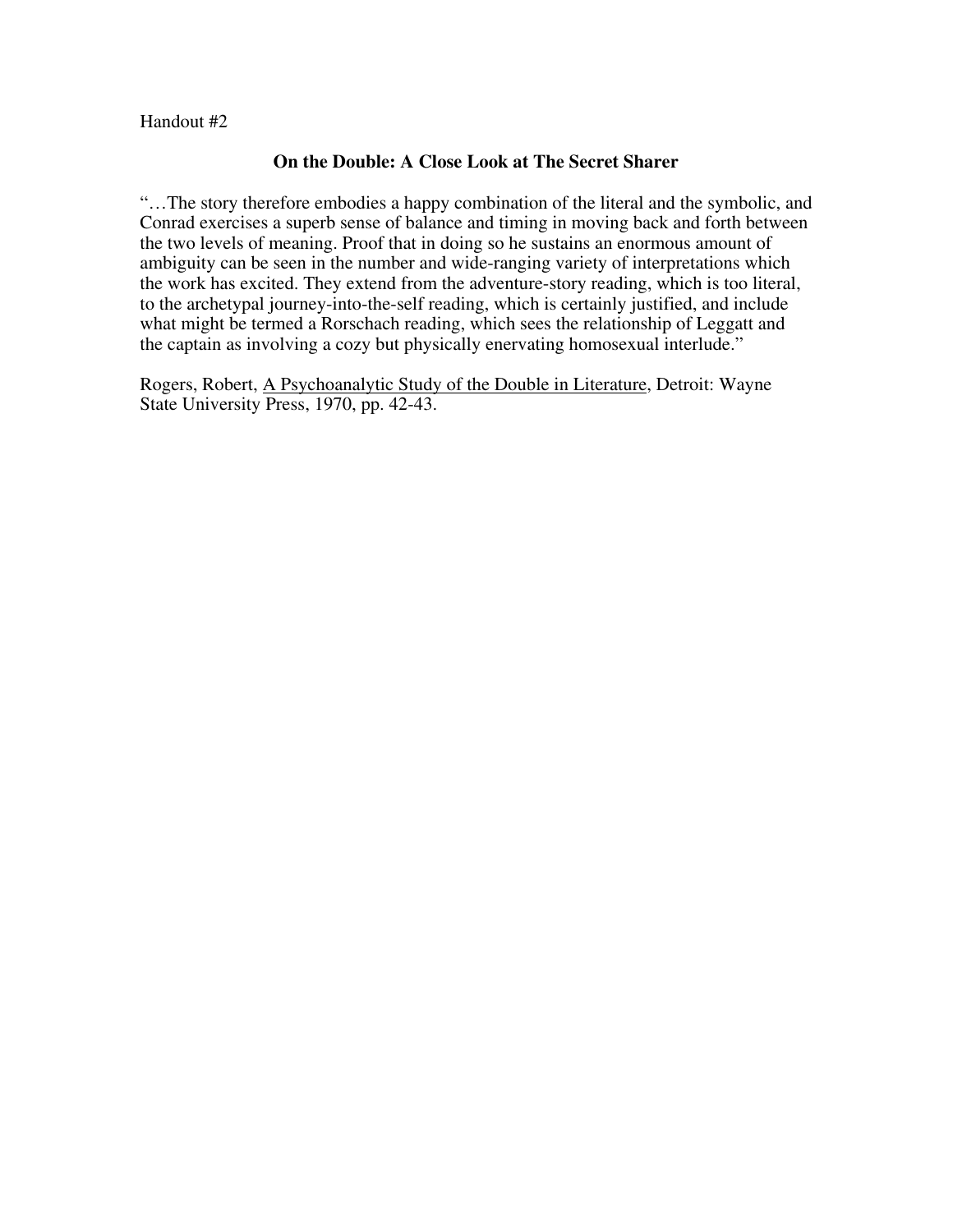Handout #2

#### **On the Double: A Close Look at The Secret Sharer**

"…The story therefore embodies a happy combination of the literal and the symbolic, and Conrad exercises a superb sense of balance and timing in moving back and forth between the two levels of meaning. Proof that in doing so he sustains an enormous amount of ambiguity can be seen in the number and wide-ranging variety of interpretations which the work has excited. They extend from the adventure-story reading, which is too literal, to the archetypal journey-into-the-self reading, which is certainly justified, and include what might be termed a Rorschach reading, which sees the relationship of Leggatt and the captain as involving a cozy but physically enervating homosexual interlude."

Rogers, Robert, A Psychoanalytic Study of the Double in Literature, Detroit: Wayne State University Press, 1970, pp. 42-43.